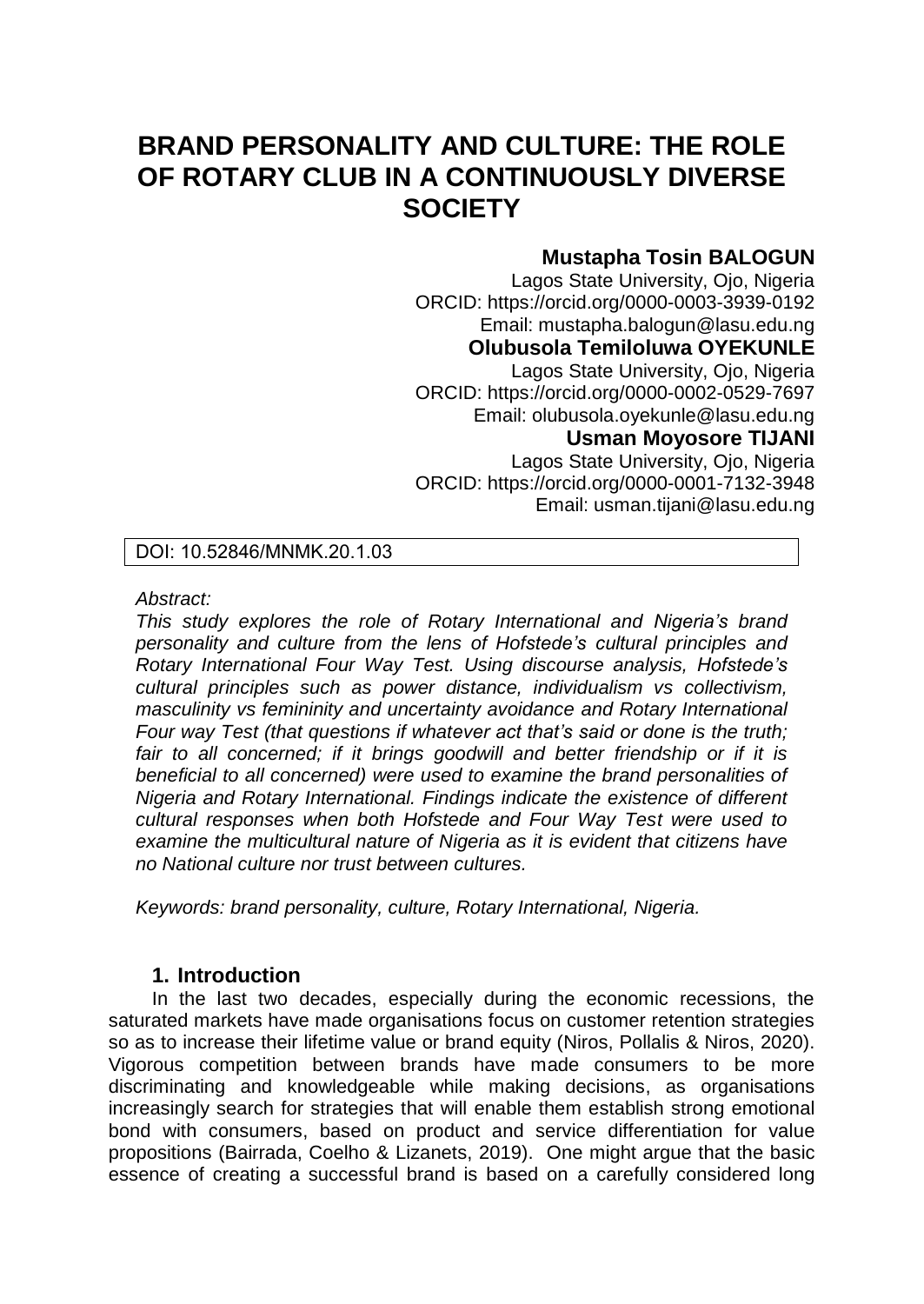# **BRAND PERSONALITY AND CULTURE: THE ROLE OF ROTARY CLUB IN A CONTINUOUSLY DIVERSE SOCIETY**

# **Mustapha Tosin BALOGUN**

Lagos State University, Ojo, Nigeria ORCID: https://orcid.org/0000-0003-3939-0192 Email: mustapha.balogun@lasu.edu.ng **Olubusola Temiloluwa OYEKUNLE**  Lagos State University, Ojo, Nigeria ORCID: https://orcid.org/0000-0002-0529-7697 Email: olubusola.oyekunle@lasu.edu.ng **Usman Moyosore TIJANI**  Lagos State University, Ojo, Nigeria ORCID: https://orcid.org/0000-0001-7132-3948 Email: usman.tijani@lasu.edu.ng

#### DOI: 10.52846/MNMK.20.1.03

*Abstract:* 

*This study explores the role of Rotary International and Nigeria's brand personality and culture from the lens of Hofstede's cultural principles and Rotary International Four Way Test. Using discourse analysis, Hofstede's cultural principles such as power distance, individualism vs collectivism, masculinity vs femininity and uncertainty avoidance and Rotary International Four way Test (that questions if whatever act that's said or done is the truth;*  fair to all concerned; if it brings goodwill and better friendship or if it is *beneficial to all concerned) were used to examine the brand personalities of Nigeria and Rotary International. Findings indicate the existence of different cultural responses when both Hofstede and Four Way Test were used to examine the multicultural nature of Nigeria as it is evident that citizens have no National culture nor trust between cultures.* 

*Keywords: brand personality, culture, Rotary International, Nigeria.* 

## **1. Introduction**

In the last two decades, especially during the economic recessions, the saturated markets have made organisations focus on customer retention strategies so as to increase their lifetime value or brand equity (Niros, Pollalis & Niros, 2020). Vigorous competition between brands have made consumers to be more discriminating and knowledgeable while making decisions, as organisations increasingly search for strategies that will enable them establish strong emotional bond with consumers, based on product and service differentiation for value propositions (Bairrada, Coelho & Lizanets, 2019). One might argue that the basic essence of creating a successful brand is based on a carefully considered long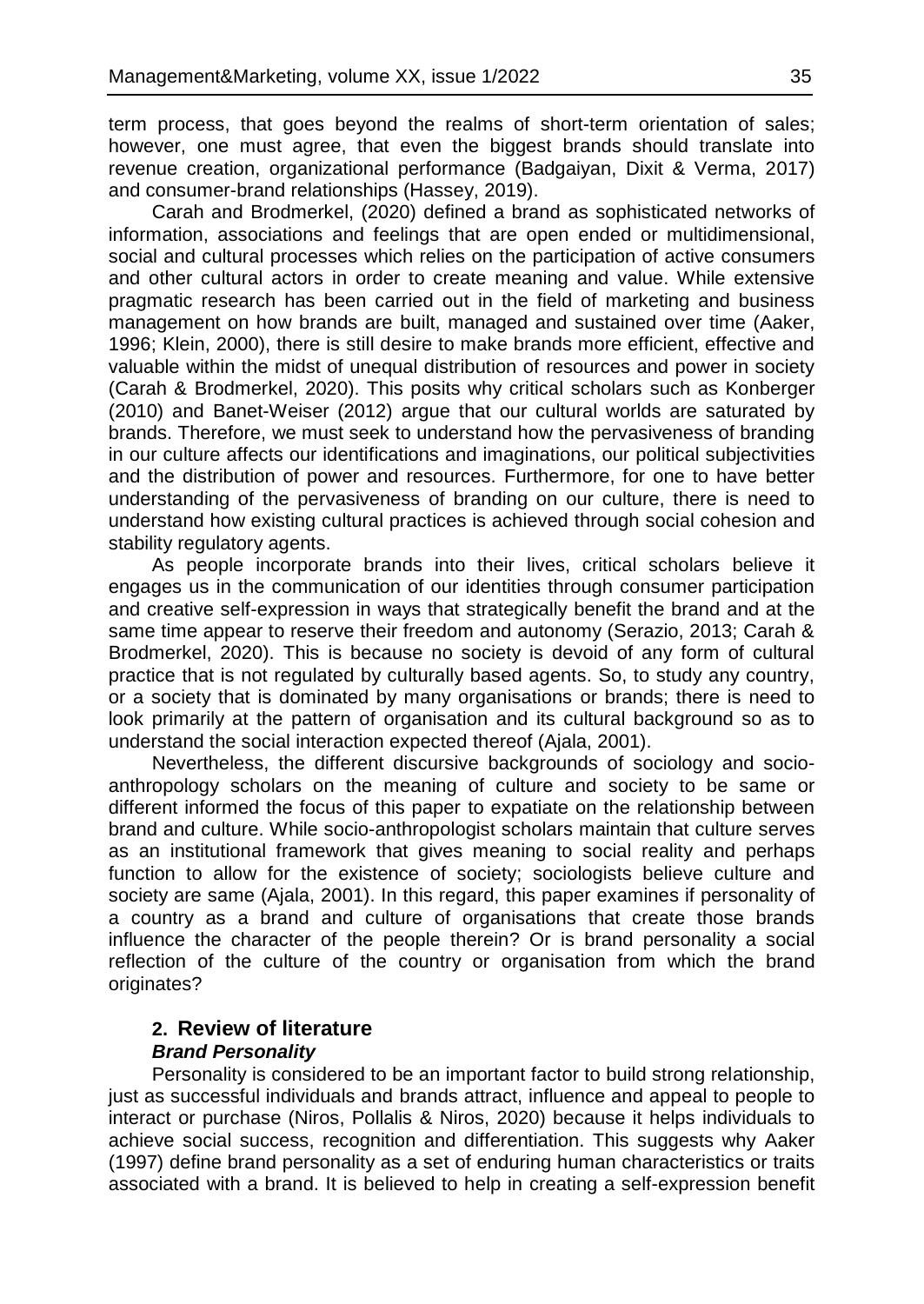term process, that goes beyond the realms of short-term orientation of sales; however, one must agree, that even the biggest brands should translate into revenue creation, organizational performance (Badgaiyan, Dixit & Verma, 2017) and consumer-brand relationships (Hassey, 2019).

Carah and Brodmerkel, (2020) defined a brand as sophisticated networks of information, associations and feelings that are open ended or multidimensional, social and cultural processes which relies on the participation of active consumers and other cultural actors in order to create meaning and value. While extensive pragmatic research has been carried out in the field of marketing and business management on how brands are built, managed and sustained over time (Aaker, 1996; Klein, 2000), there is still desire to make brands more efficient, effective and valuable within the midst of unequal distribution of resources and power in society (Carah & Brodmerkel, 2020). This posits why critical scholars such as Konberger (2010) and Banet-Weiser (2012) argue that our cultural worlds are saturated by brands. Therefore, we must seek to understand how the pervasiveness of branding in our culture affects our identifications and imaginations, our political subjectivities and the distribution of power and resources. Furthermore, for one to have better understanding of the pervasiveness of branding on our culture, there is need to understand how existing cultural practices is achieved through social cohesion and stability regulatory agents.

As people incorporate brands into their lives, critical scholars believe it engages us in the communication of our identities through consumer participation and creative self-expression in ways that strategically benefit the brand and at the same time appear to reserve their freedom and autonomy (Serazio, 2013; Carah & Brodmerkel, 2020). This is because no society is devoid of any form of cultural practice that is not regulated by culturally based agents. So, to study any country, or a society that is dominated by many organisations or brands; there is need to look primarily at the pattern of organisation and its cultural background so as to understand the social interaction expected thereof (Ajala, 2001).

Nevertheless, the different discursive backgrounds of sociology and socioanthropology scholars on the meaning of culture and society to be same or different informed the focus of this paper to expatiate on the relationship between brand and culture. While socio-anthropologist scholars maintain that culture serves as an institutional framework that gives meaning to social reality and perhaps function to allow for the existence of society; sociologists believe culture and society are same (Ajala, 2001). In this regard, this paper examines if personality of a country as a brand and culture of organisations that create those brands influence the character of the people therein? Or is brand personality a social reflection of the culture of the country or organisation from which the brand originates?

# **2. Review of literature** *Brand Personality*

Personality is considered to be an important factor to build strong relationship, just as successful individuals and brands attract, influence and appeal to people to interact or purchase (Niros, Pollalis & Niros, 2020) because it helps individuals to achieve social success, recognition and differentiation. This suggests why Aaker (1997) define brand personality as a set of enduring human characteristics or traits associated with a brand. It is believed to help in creating a self-expression benefit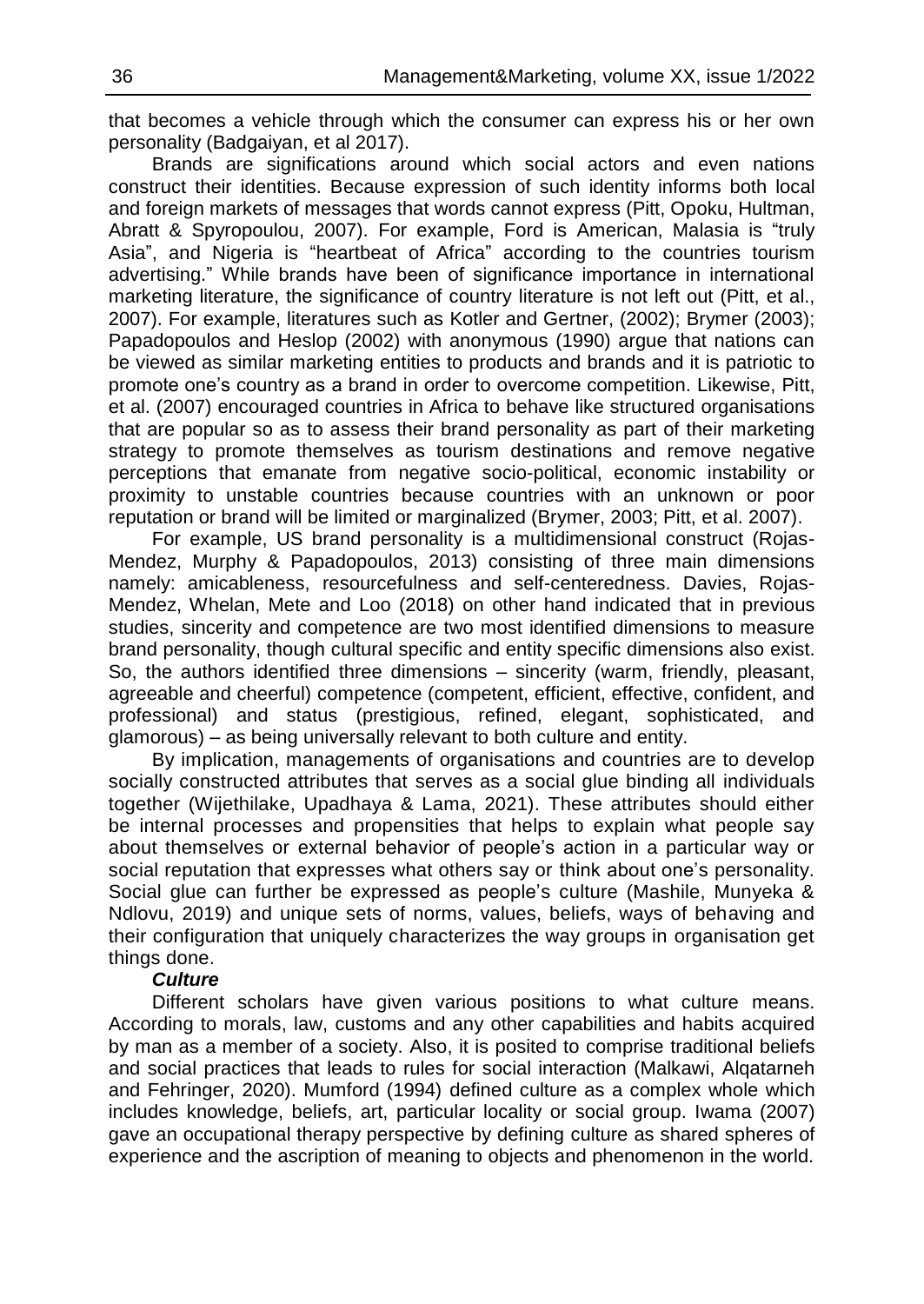֖֚֡֬֝֬֝֬֝֬֝ that becomes a vehicle through which the consumer can express his or her own personality (Badgaiyan, et al 2017).

Brands are significations around which social actors and even nations construct their identities. Because expression of such identity informs both local and foreign markets of messages that words cannot express (Pitt, Opoku, Hultman, Abratt & Spyropoulou, 2007). For example, Ford is American, Malasia is "truly Asia", and Nigeria is "heartbeat of Africa" according to the countries tourism advertising." While brands have been of significance importance in international marketing literature, the significance of country literature is not left out (Pitt, et al., 2007). For example, literatures such as Kotler and Gertner, (2002); Brymer (2003); Papadopoulos and Heslop (2002) with anonymous (1990) argue that nations can be viewed as similar marketing entities to products and brands and it is patriotic to promote one's country as a brand in order to overcome competition. Likewise, Pitt, et al. (2007) encouraged countries in Africa to behave like structured organisations that are popular so as to assess their brand personality as part of their marketing strategy to promote themselves as tourism destinations and remove negative perceptions that emanate from negative socio-political, economic instability or proximity to unstable countries because countries with an unknown or poor reputation or brand will be limited or marginalized (Brymer, 2003; Pitt, et al. 2007).

For example, US brand personality is a multidimensional construct (Rojas-Mendez, Murphy & Papadopoulos, 2013) consisting of three main dimensions namely: amicableness, resourcefulness and self-centeredness. Davies, Rojas-Mendez, Whelan, Mete and Loo (2018) on other hand indicated that in previous studies, sincerity and competence are two most identified dimensions to measure brand personality, though cultural specific and entity specific dimensions also exist. So, the authors identified three dimensions – sincerity (warm, friendly, pleasant, agreeable and cheerful) competence (competent, efficient, effective, confident, and professional) and status (prestigious, refined, elegant, sophisticated, and glamorous) – as being universally relevant to both culture and entity.

By implication, managements of organisations and countries are to develop socially constructed attributes that serves as a social glue binding all individuals together (Wijethilake, Upadhaya & Lama, 2021). These attributes should either be internal processes and propensities that helps to explain what people say about themselves or external behavior of people's action in a particular way or social reputation that expresses what others say or think about one's personality. Social glue can further be expressed as people's culture (Mashile, Munyeka & Ndlovu, 2019) and unique sets of norms, values, beliefs, ways of behaving and their configuration that uniquely characterizes the way groups in organisation get things done.

## *Culture*

Different scholars have given various positions to what culture means. According to morals, law, customs and any other capabilities and habits acquired by man as a member of a society. Also, it is posited to comprise traditional beliefs and social practices that leads to rules for social interaction (Malkawi, Alqatarneh and Fehringer, 2020). Mumford (1994) defined culture as a complex whole which includes knowledge, beliefs, art, particular locality or social group. Iwama (2007) gave an occupational therapy perspective by defining culture as shared spheres of experience and the ascription of meaning to objects and phenomenon in the world.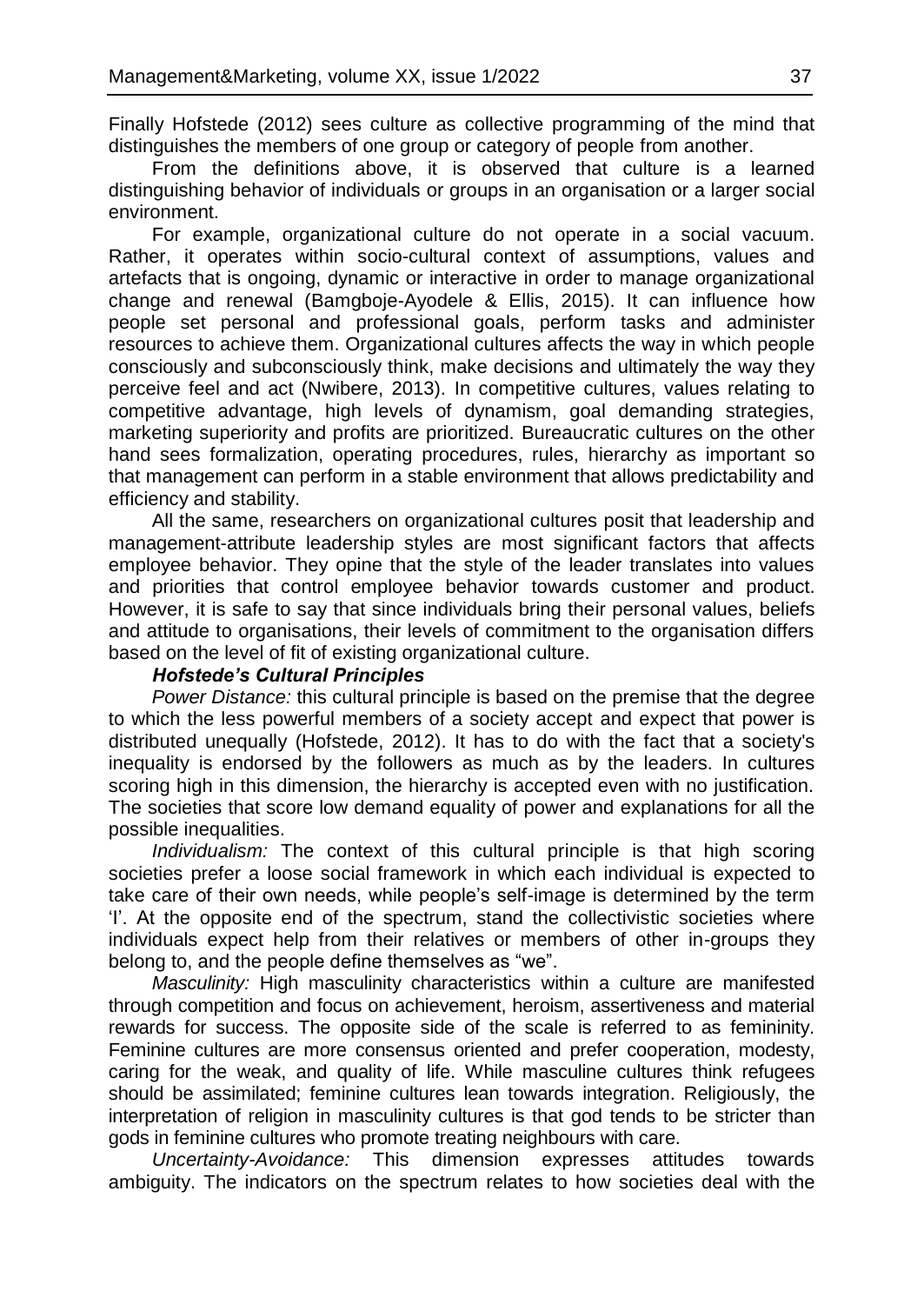Finally Hofstede (2012) sees culture as collective programming of the mind that distinguishes the members of one group or category of people from another.

From the definitions above, it is observed that culture is a learned distinguishing behavior of individuals or groups in an organisation or a larger social environment.

For example, organizational culture do not operate in a social vacuum. Rather, it operates within socio-cultural context of assumptions, values and artefacts that is ongoing, dynamic or interactive in order to manage organizational change and renewal (Bamgboje-Ayodele & Ellis, 2015). It can influence how people set personal and professional goals, perform tasks and administer resources to achieve them. Organizational cultures affects the way in which people consciously and subconsciously think, make decisions and ultimately the way they perceive feel and act (Nwibere, 2013). In competitive cultures, values relating to competitive advantage, high levels of dynamism, goal demanding strategies, marketing superiority and profits are prioritized. Bureaucratic cultures on the other hand sees formalization, operating procedures, rules, hierarchy as important so that management can perform in a stable environment that allows predictability and efficiency and stability.

All the same, researchers on organizational cultures posit that leadership and management-attribute leadership styles are most significant factors that affects employee behavior. They opine that the style of the leader translates into values and priorities that control employee behavior towards customer and product. However, it is safe to say that since individuals bring their personal values, beliefs and attitude to organisations, their levels of commitment to the organisation differs based on the level of fit of existing organizational culture.

#### *Hofstede's Cultural Principles*

*Power Distance:* this cultural principle is based on the premise that the degree to which the less powerful members of a society accept and expect that power is distributed unequally (Hofstede, 2012). It has to do with the fact that a society's inequality is endorsed by the followers as much as by the leaders. In cultures scoring high in this dimension, the hierarchy is accepted even with no justification. The societies that score low demand equality of power and explanations for all the possible inequalities.

*Individualism:* The context of this cultural principle is that high scoring societies prefer a loose social framework in which each individual is expected to take care of their own needs, while people's self-image is determined by the term 'I'. At the opposite end of the spectrum, stand the collectivistic societies where individuals expect help from their relatives or members of other in-groups they belong to, and the people define themselves as "we".

*Masculinity:* High masculinity characteristics within a culture are manifested through competition and focus on achievement, heroism, assertiveness and material rewards for success. The opposite side of the scale is referred to as femininity. Feminine cultures are more consensus oriented and prefer cooperation, modesty, caring for the weak, and quality of life. While masculine cultures think refugees should be assimilated; feminine cultures lean towards integration. Religiously, the interpretation of religion in masculinity cultures is that god tends to be stricter than gods in feminine cultures who promote treating neighbours with care.

*Uncertainty-Avoidance:* This dimension expresses attitudes towards ambiguity. The indicators on the spectrum relates to how societies deal with the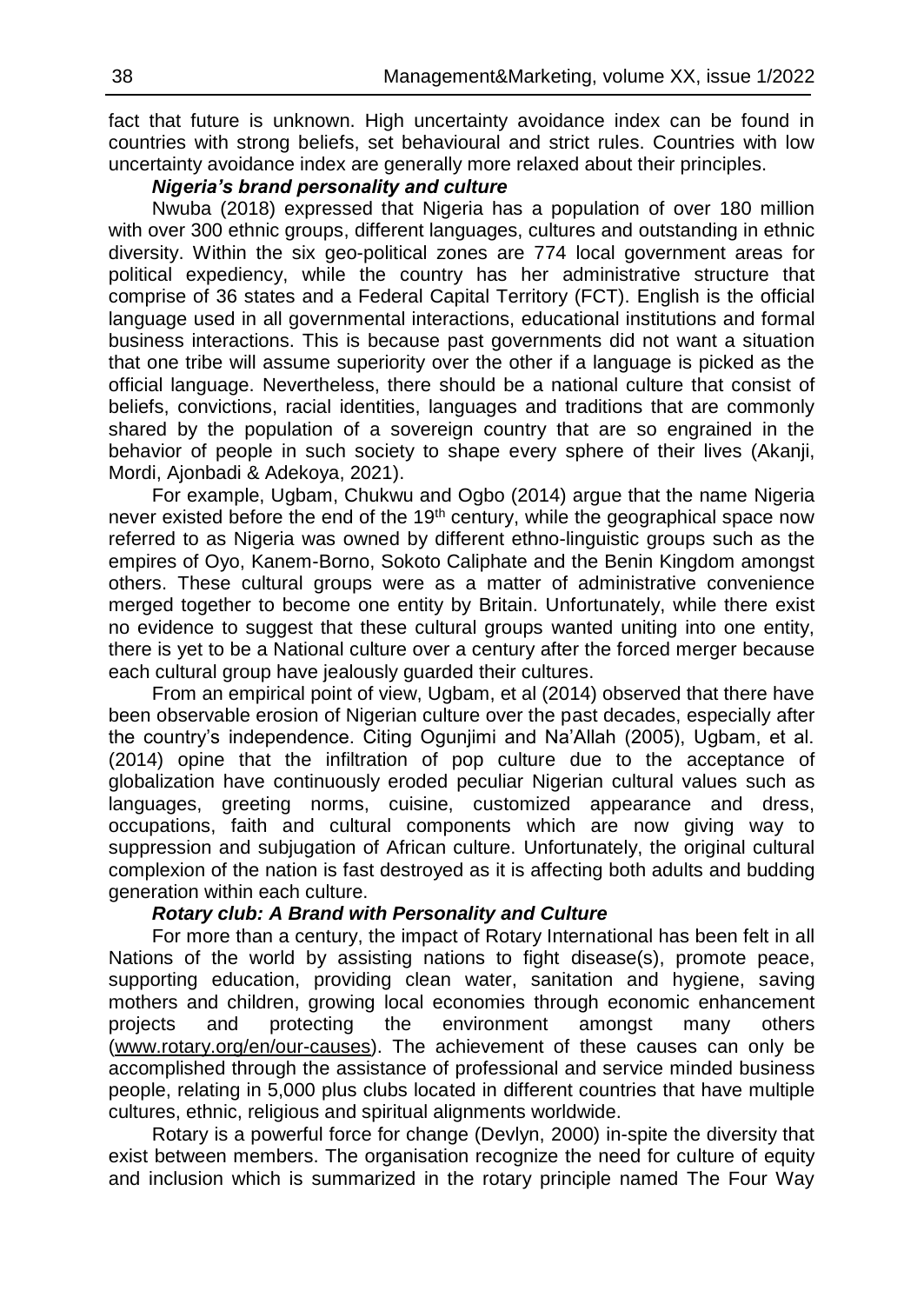֖֚֡֬֝֬֝֬֝֬֝ fact that future is unknown. High uncertainty avoidance index can be found in countries with strong beliefs, set behavioural and strict rules. Countries with low uncertainty avoidance index are generally more relaxed about their principles.

#### *Nigeria's brand personality and culture*

Nwuba (2018) expressed that Nigeria has a population of over 180 million with over 300 ethnic groups, different languages, cultures and outstanding in ethnic diversity. Within the six geo-political zones are 774 local government areas for political expediency, while the country has her administrative structure that comprise of 36 states and a Federal Capital Territory (FCT). English is the official language used in all governmental interactions, educational institutions and formal business interactions. This is because past governments did not want a situation that one tribe will assume superiority over the other if a language is picked as the official language. Nevertheless, there should be a national culture that consist of beliefs, convictions, racial identities, languages and traditions that are commonly shared by the population of a sovereign country that are so engrained in the behavior of people in such society to shape every sphere of their lives (Akanji, Mordi, Ajonbadi & Adekoya, 2021).

For example, Ugbam, Chukwu and Ogbo (2014) argue that the name Nigeria never existed before the end of the  $19<sup>th</sup>$  century, while the geographical space now referred to as Nigeria was owned by different ethno-linguistic groups such as the empires of Oyo, Kanem-Borno, Sokoto Caliphate and the Benin Kingdom amongst others. These cultural groups were as a matter of administrative convenience merged together to become one entity by Britain. Unfortunately, while there exist no evidence to suggest that these cultural groups wanted uniting into one entity, there is yet to be a National culture over a century after the forced merger because each cultural group have jealously guarded their cultures.

From an empirical point of view, Ugbam, et al (2014) observed that there have been observable erosion of Nigerian culture over the past decades, especially after the country's independence. Citing Ogunjimi and Na'Allah (2005), Ugbam, et al. (2014) opine that the infiltration of pop culture due to the acceptance of globalization have continuously eroded peculiar Nigerian cultural values such as languages, greeting norms, cuisine, customized appearance and dress, occupations, faith and cultural components which are now giving way to suppression and subjugation of African culture. Unfortunately, the original cultural complexion of the nation is fast destroyed as it is affecting both adults and budding generation within each culture.

## *Rotary club: A Brand with Personality and Culture*

For more than a century, the impact of Rotary International has been felt in all Nations of the world by assisting nations to fight disease(s), promote peace, supporting education, providing clean water, sanitation and hygiene, saving mothers and children, growing local economies through economic enhancement projects and protecting the environment amongst many others [\(www.rotary.org/en/our-causes\)](http://www.rotary.org/en/our-causes). The achievement of these causes can only be accomplished through the assistance of professional and service minded business people, relating in 5,000 plus clubs located in different countries that have multiple cultures, ethnic, religious and spiritual alignments worldwide.

Rotary is a powerful force for change (Devlyn, 2000) in-spite the diversity that exist between members. The organisation recognize the need for culture of equity and inclusion which is summarized in the rotary principle named The Four Way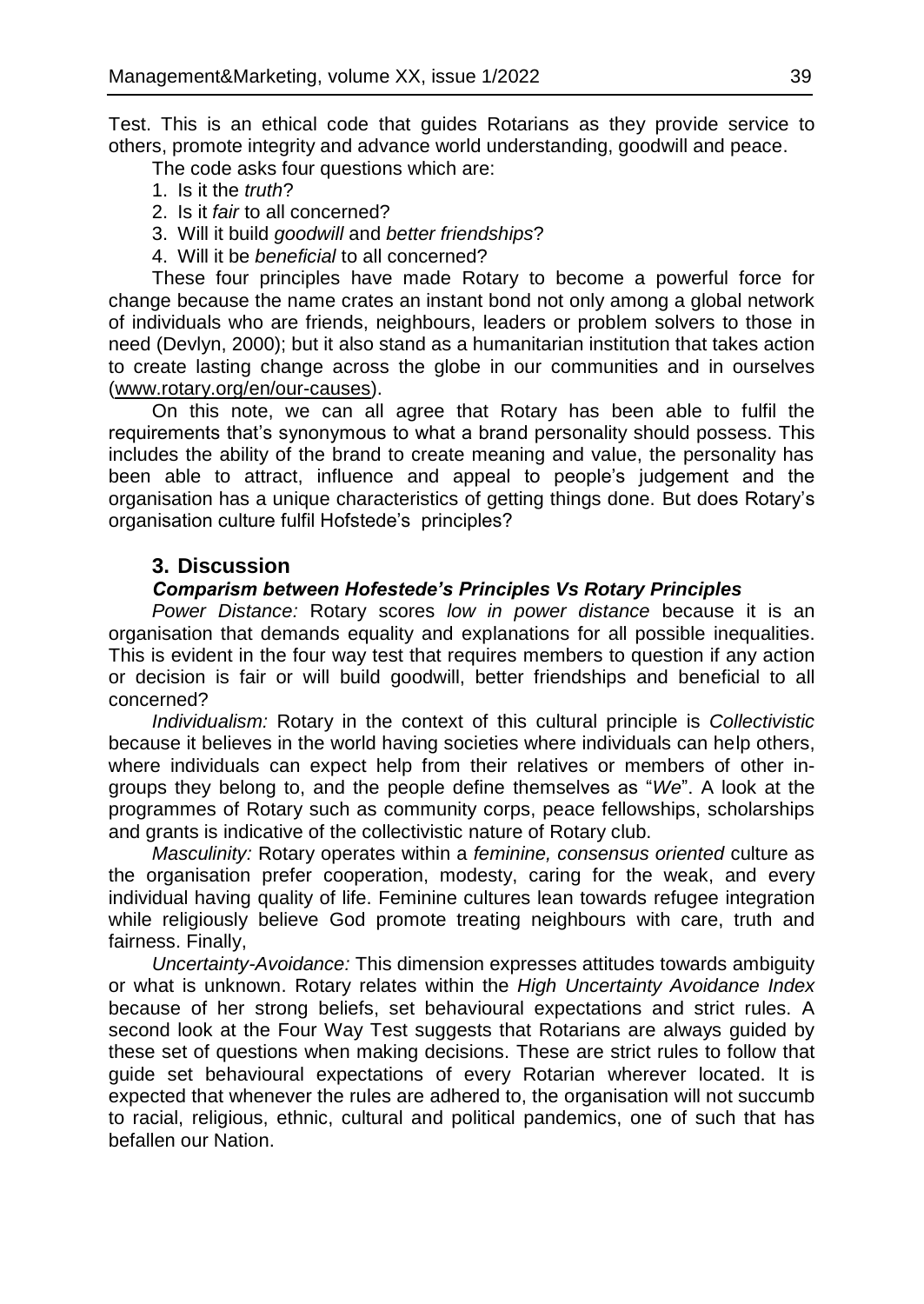Test. This is an ethical code that guides Rotarians as they provide service to others, promote integrity and advance world understanding, goodwill and peace.

The code asks four questions which are:

- 1. Is it the *truth*?
- 2. Is it *fair* to all concerned?
- 3. Will it build *goodwill* and *better friendships*?
- 4. Will it be *beneficial* to all concerned?

These four principles have made Rotary to become a powerful force for change because the name crates an instant bond not only among a global network of individuals who are friends, neighbours, leaders or problem solvers to those in need (Devlyn, 2000); but it also stand as a humanitarian institution that takes action to create lasting change across the globe in our communities and in ourselves [\(www.rotary.org/en/our-causes\)](http://www.rotary.org/en/our-causes).

On this note, we can all agree that Rotary has been able to fulfil the requirements that's synonymous to what a brand personality should possess. This includes the ability of the brand to create meaning and value, the personality has been able to attract, influence and appeal to people's judgement and the organisation has a unique characteristics of getting things done. But does Rotary's organisation culture fulfil Hofstede's principles?

## **3. Discussion**

## *Comparism between Hofestede's Principles Vs Rotary Principles*

*Power Distance:* Rotary scores *low in power distance* because it is an organisation that demands equality and explanations for all possible inequalities. This is evident in the four way test that requires members to question if any action or decision is fair or will build goodwill, better friendships and beneficial to all concerned?

*Individualism:* Rotary in the context of this cultural principle is *Collectivistic* because it believes in the world having societies where individuals can help others, where individuals can expect help from their relatives or members of other ingroups they belong to, and the people define themselves as "*We*". A look at the programmes of Rotary such as community corps, peace fellowships, scholarships and grants is indicative of the collectivistic nature of Rotary club.

*Masculinity:* Rotary operates within a *feminine, consensus oriented* culture as the organisation prefer cooperation, modesty, caring for the weak, and every individual having quality of life. Feminine cultures lean towards refugee integration while religiously believe God promote treating neighbours with care, truth and fairness. Finally,

*Uncertainty-Avoidance:* This dimension expresses attitudes towards ambiguity or what is unknown. Rotary relates within the *High Uncertainty Avoidance Index* because of her strong beliefs, set behavioural expectations and strict rules. A second look at the Four Way Test suggests that Rotarians are always guided by these set of questions when making decisions. These are strict rules to follow that guide set behavioural expectations of every Rotarian wherever located. It is expected that whenever the rules are adhered to, the organisation will not succumb to racial, religious, ethnic, cultural and political pandemics, one of such that has befallen our Nation.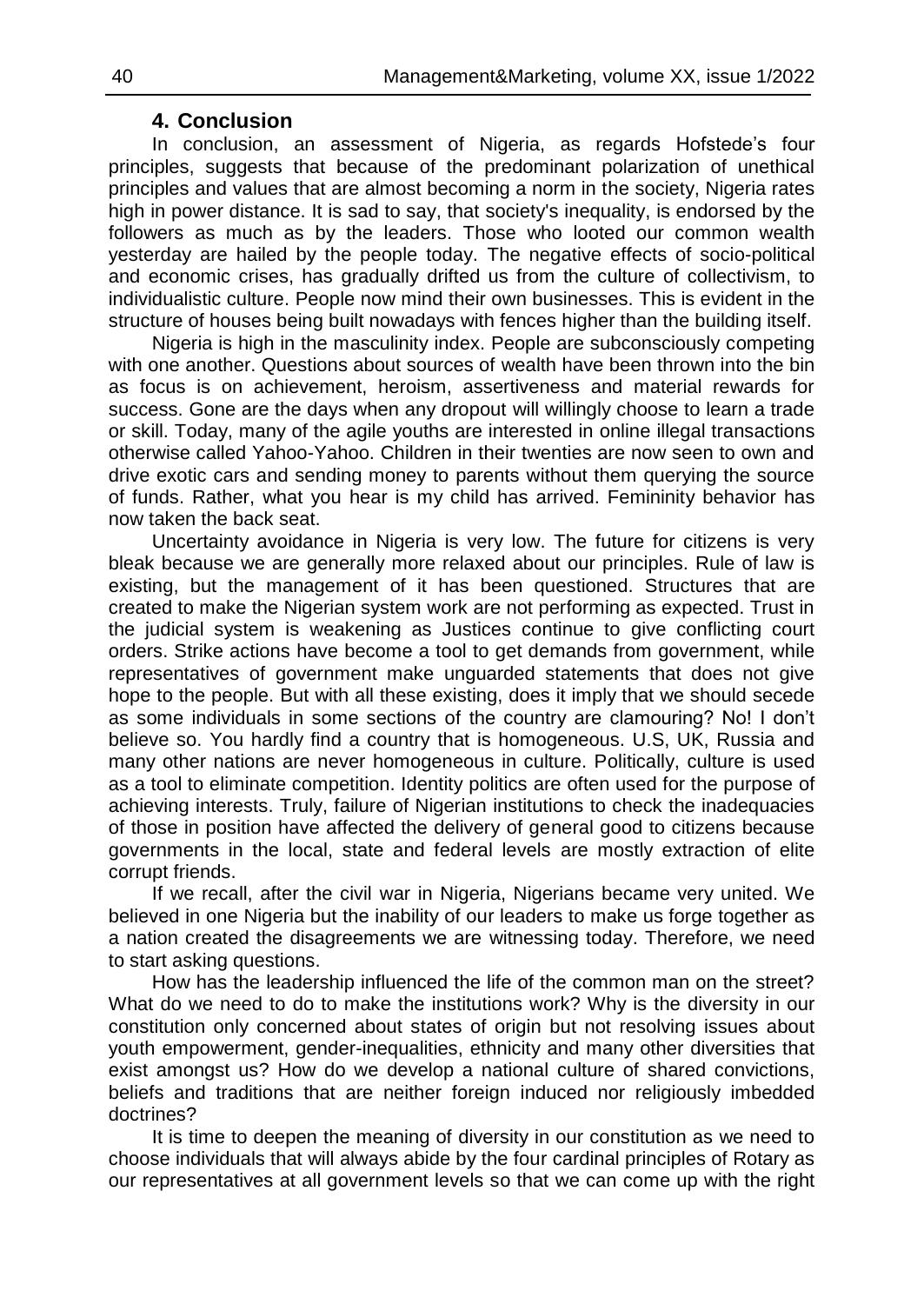# **4. Conclusion**

In conclusion, an assessment of Nigeria, as regards Hofstede's four principles, suggests that because of the predominant polarization of unethical principles and values that are almost becoming a norm in the society, Nigeria rates high in power distance. It is sad to say, that society's inequality, is endorsed by the followers as much as by the leaders. Those who looted our common wealth yesterday are hailed by the people today. The negative effects of socio-political and economic crises, has gradually drifted us from the culture of collectivism, to individualistic culture. People now mind their own businesses. This is evident in the structure of houses being built nowadays with fences higher than the building itself.

Nigeria is high in the masculinity index. People are subconsciously competing with one another. Questions about sources of wealth have been thrown into the bin as focus is on achievement, heroism, assertiveness and material rewards for success. Gone are the days when any dropout will willingly choose to learn a trade or skill. Today, many of the agile youths are interested in online illegal transactions otherwise called Yahoo-Yahoo. Children in their twenties are now seen to own and drive exotic cars and sending money to parents without them querying the source of funds. Rather, what you hear is my child has arrived. Femininity behavior has now taken the back seat.

Uncertainty avoidance in Nigeria is very low. The future for citizens is very bleak because we are generally more relaxed about our principles. Rule of law is existing, but the management of it has been questioned. Structures that are created to make the Nigerian system work are not performing as expected. Trust in the judicial system is weakening as Justices continue to give conflicting court orders. Strike actions have become a tool to get demands from government, while representatives of government make unguarded statements that does not give hope to the people. But with all these existing, does it imply that we should secede as some individuals in some sections of the country are clamouring? No! I don't believe so. You hardly find a country that is homogeneous. U.S, UK, Russia and many other nations are never homogeneous in culture. Politically, culture is used as a tool to eliminate competition. Identity politics are often used for the purpose of achieving interests. Truly, failure of Nigerian institutions to check the inadequacies of those in position have affected the delivery of general good to citizens because governments in the local, state and federal levels are mostly extraction of elite corrupt friends.

If we recall, after the civil war in Nigeria, Nigerians became very united. We believed in one Nigeria but the inability of our leaders to make us forge together as a nation created the disagreements we are witnessing today. Therefore, we need to start asking questions.

How has the leadership influenced the life of the common man on the street? What do we need to do to make the institutions work? Why is the diversity in our constitution only concerned about states of origin but not resolving issues about youth empowerment, gender-inequalities, ethnicity and many other diversities that exist amongst us? How do we develop a national culture of shared convictions, beliefs and traditions that are neither foreign induced nor religiously imbedded doctrines?

It is time to deepen the meaning of diversity in our constitution as we need to choose individuals that will always abide by the four cardinal principles of Rotary as our representatives at all government levels so that we can come up with the right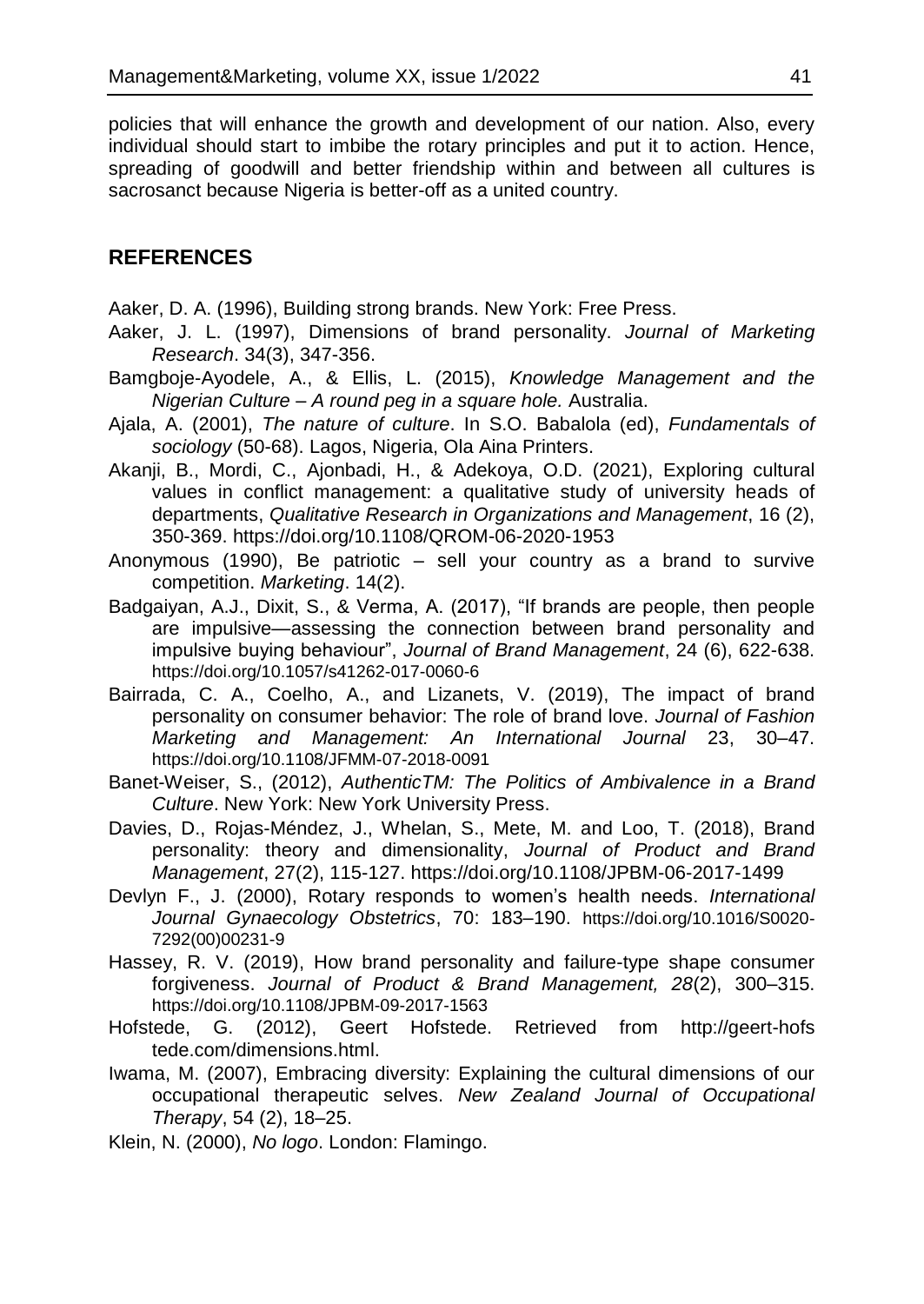policies that will enhance the growth and development of our nation. Also, every individual should start to imbibe the rotary principles and put it to action. Hence, spreading of goodwill and better friendship within and between all cultures is sacrosanct because Nigeria is better-off as a united country.

## **REFERENCES**

- Aaker, D. A. (1996), Building strong brands. New York: Free Press.
- Aaker, J. L. (1997), Dimensions of brand personality. *Journal of Marketing Research*. 34(3), 347-356.
- Bamgboje-Ayodele, A., & Ellis, L. (2015), *Knowledge Management and the Nigerian Culture – A round peg in a square hole.* Australia.
- Ajala, A. (2001), *The nature of culture*. In S.O. Babalola (ed), *Fundamentals of sociology* (50-68). Lagos, Nigeria, Ola Aina Printers.
- [Akanji, B.,](https://www.emerald.com/insight/search?q=Babatunde%20Akanji) [Mordi, C.,](https://www.emerald.com/insight/search?q=Chima%20Mordi) [Ajonbadi, H.,](https://www.emerald.com/insight/search?q=Hakeem%20Ajonbadi) & [Adekoya, O.D.](https://www.emerald.com/insight/search?q=Olatunji%20David%20Adekoya) (2021), Exploring cultural values in conflict management: a qualitative study of university heads of departments, *Qualitative Research in Organizations and Management*, 16 (2), 350-369. <https://doi.org/10.1108/QROM-06-2020-1953>
- Anonymous (1990), Be patriotic sell your country as a brand to survive competition. *Marketing*. 14(2).
- Badgaiyan, A.J., Dixit, S., & Verma, A. (2017), "If brands are people, then people are impulsive—assessing the connection between brand personality and impulsive buying behaviour", *Journal of Brand Management*, 24 (6), 622-638. <https://doi.org/10.1057/s41262-017-0060-6>
- Bairrada, C. A., Coelho, A., and Lizanets, V. (2019), The impact of brand personality on consumer behavior: The role of brand love. *Journal of Fashion Marketing and Management: An International Journal* 23, 30–47. <https://doi.org/10.1108/JFMM-07-2018-0091>
- Banet-Weiser, S., (2012), *AuthenticTM: The Politics of Ambivalence in a Brand Culture*. New York: New York University Press.
- Davies, D., Rojas-Méndez, J., Whelan, S., Mete, M. and Loo, T. (2018), Brand personality: theory and dimensionality, *Journal of Product and Brand Management*, 27(2), 115-127. <https://doi.org/10.1108/JPBM-06-2017-1499>
- Devlyn F., J. (2000), Rotary responds to women's health needs. *International Journal Gynaecology Obstetrics*, 70: 183–190. [https://doi.org/10.1016/S0020-](https://doi.org/10.1016/S0020-7292(00)00231-9) [7292\(00\)00231-9](https://doi.org/10.1016/S0020-7292(00)00231-9)
- Hassey, R. V. (2019), How brand personality and failure-type shape consumer forgiveness. *Journal of Product & Brand Management, 28*(2), 300–315. <https://doi.org/10.1108/JPBM-09-2017-1563>
- Hofstede, G. (2012), Geert Hofstede. Retrieved from http://geert-hofs tede.com/dimensions.html.
- Iwama, M. (2007), Embracing diversity: Explaining the cultural dimensions of our occupational therapeutic selves. *New Zealand Journal of Occupational Therapy*, 54 (2), 18–25.
- Klein, N. (2000), *No logo*. London: Flamingo.